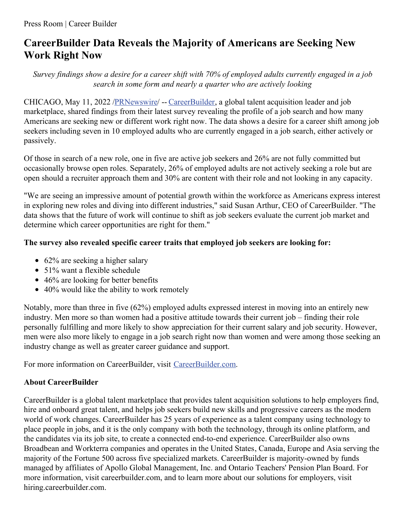## **CareerBuilder Data Reveals the Majority of Americans are Seeking New Work Right Now**

Survey findings show a desire for a career shift with 70% of employed adults currently engaged in a job *search in some form and nearly a quarter who are actively looking*

CHICAGO, May 11, 2022 [/PRNewswire](http://www.prnewswire.com/)/ -- [CareerBuilder](https://c212.net/c/link/?t=0&l=en&o=3533173-1&h=3856177831&u=https%3A%2F%2Fwww.careerbuilder.com%2F&a=CareerBuilder), a global talent acquisition leader and job marketplace, shared findings from their latest survey revealing the profile of a job search and how many Americans are seeking new or different work right now. The data shows a desire for a career shift among job seekers including seven in 10 employed adults who are currently engaged in a job search, either actively or passively.

Of those in search of a new role, one in five are active job seekers and 26% are not fully committed but occasionally browse open roles. Separately, 26% of employed adults are not actively seeking a role but are open should a recruiter approach them and 30% are content with their role and not looking in any capacity.

"We are seeing an impressive amount of potential growth within the workforce as Americans express interest in exploring new roles and diving into different industries," said Susan Arthur, CEO of CareerBuilder. "The data shows that the future of work will continue to shift as job seekers evaluate the current job market and determine which career opportunities are right for them."

## **The survey also revealed specific career traits that employed job seekers are looking for:**

- 62% are seeking a higher salary
- 51% want a flexible schedule
- 46% are looking for better benefits
- 40% would like the ability to work remotely

Notably, more than three in five (62%) employed adults expressed interest in moving into an entirely new industry. Men more so than women had a positive attitude towards their current job – finding their role personally fulfilling and more likely to show appreciation for their current salary and job security. However, men were also more likely to engage in a job search right now than women and were among those seeking an industry change as well as greater career guidance and support.

For more information on CareerBuilder, visit [CareerBuilder.com](https://c212.net/c/link/?t=0&l=en&o=3533173-1&h=3302667223&u=https%3A%2F%2Fwww.careerbuilder.com%2F&a=CareerBuilder.com).

## **About CareerBuilder**

CareerBuilder is a global talent marketplace that provides talent acquisition solutions to help employers find, hire and onboard great talent, and helps job seekers build new skills and progressive careers as the modern world of work changes. CareerBuilder has 25 years of experience as a talent company using technology to place people in jobs, and it is the only company with both the technology, through its online platform, and the candidates via its job site, to create a connected end-to-end experience. CareerBuilder also owns Broadbean and Workterra companies and operates in the United States, Canada, Europe and Asia serving the majority of the Fortune 500 across five specialized markets. CareerBuilder is majority-owned by funds managed by affiliates of Apollo Global Management, Inc. and Ontario Teachers' Pension Plan Board. For more information, visit careerbuilder.com, and to learn more about our solutions for employers, visit hiring.careerbuilder.com.